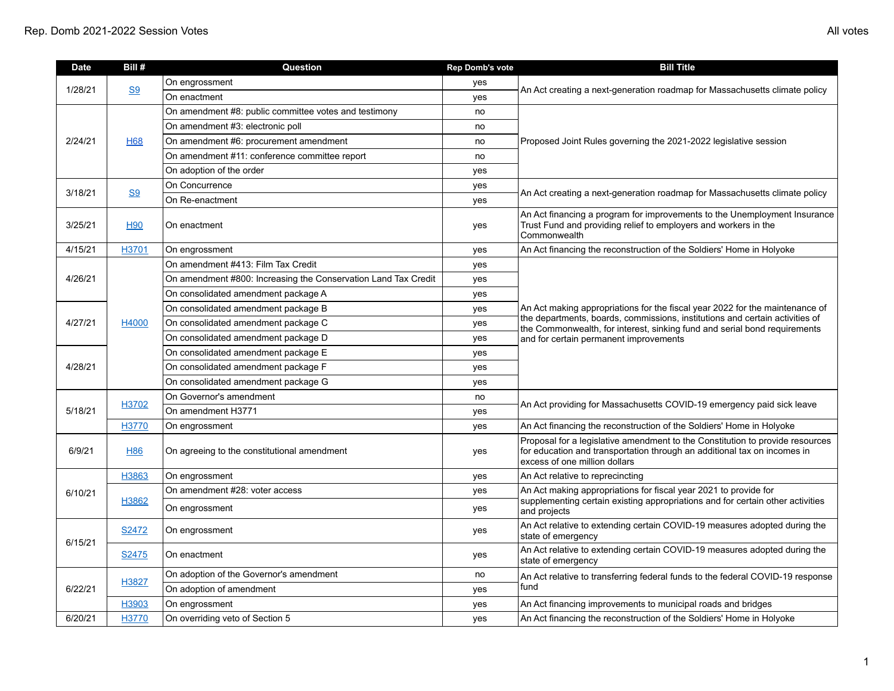| <b>Date</b> | Bill #         | Question                                                       | <b>Rep Domb's vote</b> | <b>Bill Title</b>                                                                                                                                                                                                                                                                   |
|-------------|----------------|----------------------------------------------------------------|------------------------|-------------------------------------------------------------------------------------------------------------------------------------------------------------------------------------------------------------------------------------------------------------------------------------|
| 1/28/21     | S <sub>9</sub> | On engrossment                                                 | yes                    |                                                                                                                                                                                                                                                                                     |
|             |                | On enactment                                                   | yes                    | An Act creating a next-generation roadmap for Massachusetts climate policy                                                                                                                                                                                                          |
|             |                | On amendment #8: public committee votes and testimony          | no                     |                                                                                                                                                                                                                                                                                     |
|             |                | On amendment #3: electronic poll                               | no                     |                                                                                                                                                                                                                                                                                     |
| 2/24/21     | <b>H68</b>     | On amendment #6: procurement amendment                         | no                     | Proposed Joint Rules governing the 2021-2022 legislative session                                                                                                                                                                                                                    |
|             |                | On amendment #11: conference committee report                  | no                     |                                                                                                                                                                                                                                                                                     |
|             |                | On adoption of the order                                       | yes                    |                                                                                                                                                                                                                                                                                     |
| 3/18/21     | <b>S9</b>      | On Concurrence                                                 | yes                    | An Act creating a next-generation roadmap for Massachusetts climate policy                                                                                                                                                                                                          |
|             |                | On Re-enactment                                                | yes                    |                                                                                                                                                                                                                                                                                     |
| 3/25/21     | <b>H90</b>     | On enactment                                                   | yes                    | An Act financing a program for improvements to the Unemployment Insurance<br>Trust Fund and providing relief to employers and workers in the<br>Commonwealth                                                                                                                        |
| 4/15/21     | H3701          | On engrossment                                                 | yes                    | An Act financing the reconstruction of the Soldiers' Home in Holyoke                                                                                                                                                                                                                |
|             |                | On amendment #413: Film Tax Credit                             | yes                    |                                                                                                                                                                                                                                                                                     |
| 4/26/21     |                | On amendment #800: Increasing the Conservation Land Tax Credit | yes                    |                                                                                                                                                                                                                                                                                     |
|             |                | On consolidated amendment package A                            | yes                    | An Act making appropriations for the fiscal year 2022 for the maintenance of<br>the departments, boards, commissions, institutions and certain activities of<br>the Commonwealth, for interest, sinking fund and serial bond requirements<br>and for certain permanent improvements |
|             | H4000          | On consolidated amendment package B                            | yes                    |                                                                                                                                                                                                                                                                                     |
| 4/27/21     |                | On consolidated amendment package C                            | yes                    |                                                                                                                                                                                                                                                                                     |
|             |                | On consolidated amendment package D                            | yes                    |                                                                                                                                                                                                                                                                                     |
|             |                | On consolidated amendment package E                            | yes                    |                                                                                                                                                                                                                                                                                     |
| 4/28/21     |                | On consolidated amendment package F                            | yes                    |                                                                                                                                                                                                                                                                                     |
|             |                | On consolidated amendment package G                            | yes                    |                                                                                                                                                                                                                                                                                     |
|             | H3702          | On Governor's amendment                                        | no                     | An Act providing for Massachusetts COVID-19 emergency paid sick leave                                                                                                                                                                                                               |
| 5/18/21     |                | On amendment H3771                                             | yes                    |                                                                                                                                                                                                                                                                                     |
|             | H3770          | On engrossment                                                 | yes                    | An Act financing the reconstruction of the Soldiers' Home in Holyoke                                                                                                                                                                                                                |
| 6/9/21      | <b>H86</b>     | On agreeing to the constitutional amendment                    | yes                    | Proposal for a legislative amendment to the Constitution to provide resources<br>for education and transportation through an additional tax on incomes in<br>excess of one million dollars                                                                                          |
|             | H3863          | On engrossment                                                 | yes                    | An Act relative to reprecincting                                                                                                                                                                                                                                                    |
| 6/10/21     | H3862          | On amendment #28: voter access                                 | yes                    | An Act making appropriations for fiscal year 2021 to provide for<br>supplementing certain existing appropriations and for certain other activities<br>and projects                                                                                                                  |
|             |                | On engrossment                                                 | yes                    |                                                                                                                                                                                                                                                                                     |
| 6/15/21     | S2472          | On engrossment                                                 | yes                    | An Act relative to extending certain COVID-19 measures adopted during the<br>state of emergency                                                                                                                                                                                     |
|             | S2475          | On enactment                                                   | yes                    | An Act relative to extending certain COVID-19 measures adopted during the<br>state of emergency                                                                                                                                                                                     |
| 6/22/21     | H3827          | On adoption of the Governor's amendment                        | no                     | An Act relative to transferring federal funds to the federal COVID-19 response<br>fund                                                                                                                                                                                              |
|             |                | On adoption of amendment                                       | yes                    |                                                                                                                                                                                                                                                                                     |
|             | H3903          | On engrossment                                                 | yes                    | An Act financing improvements to municipal roads and bridges                                                                                                                                                                                                                        |
| 6/20/21     | H3770          | On overriding veto of Section 5                                | ves                    | An Act financing the reconstruction of the Soldiers' Home in Holyoke                                                                                                                                                                                                                |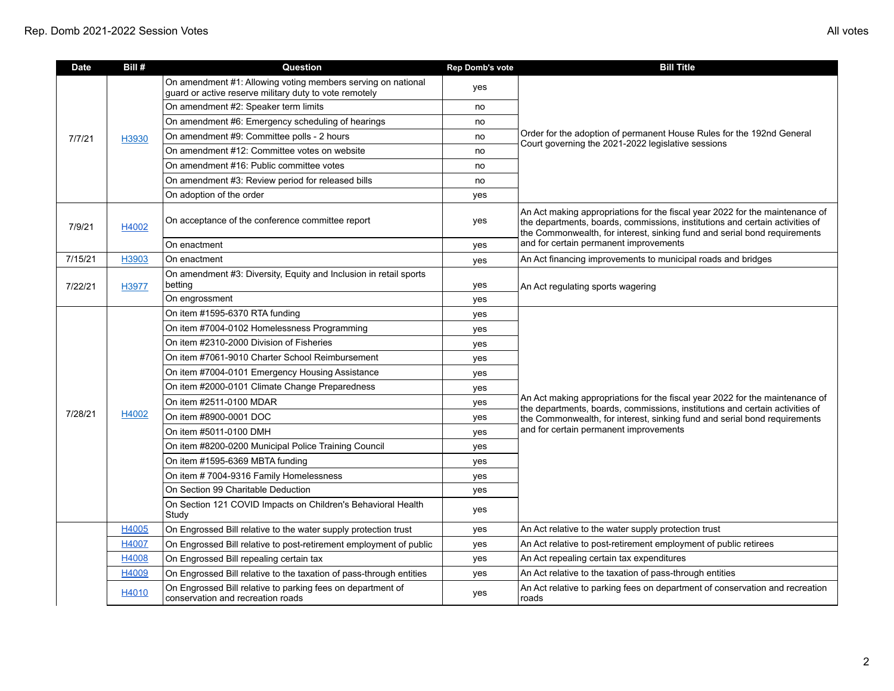| <b>Date</b> | Bill# | Question                                                                                                               | <b>Rep Domb's vote</b> | <b>Bill Title</b>                                                                                                                                                                                                                                                                   |
|-------------|-------|------------------------------------------------------------------------------------------------------------------------|------------------------|-------------------------------------------------------------------------------------------------------------------------------------------------------------------------------------------------------------------------------------------------------------------------------------|
| 7/7/21      |       | On amendment #1: Allowing voting members serving on national<br>guard or active reserve military duty to vote remotely | yes                    | Order for the adoption of permanent House Rules for the 192nd General<br>Court governing the 2021-2022 legislative sessions                                                                                                                                                         |
|             |       | On amendment #2: Speaker term limits                                                                                   | no                     |                                                                                                                                                                                                                                                                                     |
|             |       | On amendment #6: Emergency scheduling of hearings                                                                      | no                     |                                                                                                                                                                                                                                                                                     |
|             | H3930 | On amendment #9: Committee polls - 2 hours                                                                             | no                     |                                                                                                                                                                                                                                                                                     |
|             |       | On amendment #12: Committee votes on website                                                                           | no                     |                                                                                                                                                                                                                                                                                     |
|             |       | On amendment #16: Public committee votes                                                                               | no                     |                                                                                                                                                                                                                                                                                     |
|             |       | On amendment #3: Review period for released bills                                                                      | no                     |                                                                                                                                                                                                                                                                                     |
|             |       | On adoption of the order                                                                                               | yes                    |                                                                                                                                                                                                                                                                                     |
| 7/9/21      | H4002 | On acceptance of the conference committee report                                                                       | yes                    | An Act making appropriations for the fiscal year 2022 for the maintenance of<br>the departments, boards, commissions, institutions and certain activities of<br>the Commonwealth, for interest, sinking fund and serial bond requirements<br>and for certain permanent improvements |
|             |       | On enactment                                                                                                           | yes                    |                                                                                                                                                                                                                                                                                     |
| 7/15/21     | H3903 | On enactment                                                                                                           | yes                    | An Act financing improvements to municipal roads and bridges                                                                                                                                                                                                                        |
| 7/22/21     | H3977 | On amendment #3: Diversity, Equity and Inclusion in retail sports<br>betting                                           | yes                    | An Act regulating sports wagering                                                                                                                                                                                                                                                   |
|             |       | On engrossment                                                                                                         | yes                    |                                                                                                                                                                                                                                                                                     |
|             | H4002 | On item #1595-6370 RTA funding                                                                                         | yes                    | An Act making appropriations for the fiscal year 2022 for the maintenance of<br>the departments, boards, commissions, institutions and certain activities of<br>the Commonwealth, for interest, sinking fund and serial bond requirements<br>and for certain permanent improvements |
|             |       | On item #7004-0102 Homelessness Programming                                                                            | yes                    |                                                                                                                                                                                                                                                                                     |
|             |       | On item #2310-2000 Division of Fisheries                                                                               | yes                    |                                                                                                                                                                                                                                                                                     |
|             |       | On item #7061-9010 Charter School Reimbursement                                                                        | yes                    |                                                                                                                                                                                                                                                                                     |
|             |       | On item #7004-0101 Emergency Housing Assistance                                                                        | yes                    |                                                                                                                                                                                                                                                                                     |
|             |       | On item #2000-0101 Climate Change Preparedness                                                                         | yes                    |                                                                                                                                                                                                                                                                                     |
|             |       | On item #2511-0100 MDAR                                                                                                | yes                    |                                                                                                                                                                                                                                                                                     |
| 7/28/21     |       | On item #8900-0001 DOC                                                                                                 | yes                    |                                                                                                                                                                                                                                                                                     |
|             |       | On item #5011-0100 DMH                                                                                                 | yes                    |                                                                                                                                                                                                                                                                                     |
|             |       | On item #8200-0200 Municipal Police Training Council                                                                   | yes                    |                                                                                                                                                                                                                                                                                     |
|             |       | On item #1595-6369 MBTA funding                                                                                        | yes                    |                                                                                                                                                                                                                                                                                     |
|             |       | On item # 7004-9316 Family Homelessness                                                                                | yes                    |                                                                                                                                                                                                                                                                                     |
|             |       | On Section 99 Charitable Deduction                                                                                     | yes                    |                                                                                                                                                                                                                                                                                     |
|             |       | On Section 121 COVID Impacts on Children's Behavioral Health<br>Study                                                  | yes                    |                                                                                                                                                                                                                                                                                     |
|             | H4005 | On Engrossed Bill relative to the water supply protection trust                                                        | yes                    | An Act relative to the water supply protection trust                                                                                                                                                                                                                                |
|             | H4007 | On Engrossed Bill relative to post-retirement employment of public                                                     | yes                    | An Act relative to post-retirement employment of public retirees                                                                                                                                                                                                                    |
|             | H4008 | On Engrossed Bill repealing certain tax                                                                                | yes                    | An Act repealing certain tax expenditures                                                                                                                                                                                                                                           |
|             | H4009 | On Engrossed Bill relative to the taxation of pass-through entities                                                    | yes                    | An Act relative to the taxation of pass-through entities                                                                                                                                                                                                                            |
|             | H4010 | On Engrossed Bill relative to parking fees on department of<br>conservation and recreation roads                       | yes                    | An Act relative to parking fees on department of conservation and recreation<br>roads                                                                                                                                                                                               |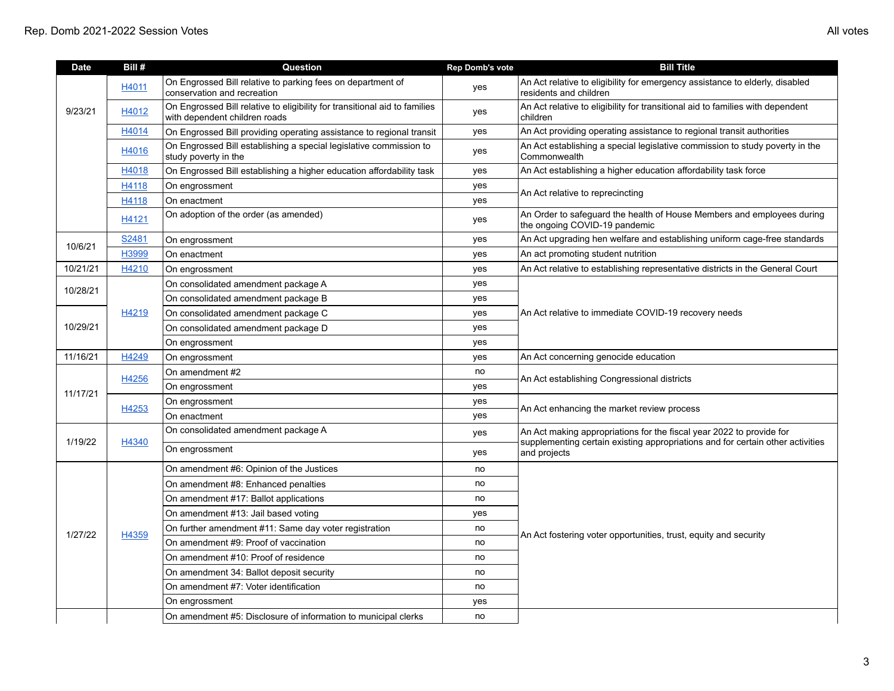| <b>Date</b> | Bill# | Question                                                                                                    | <b>Rep Domb's vote</b> | <b>Bill Title</b>                                                                                                                                                      |
|-------------|-------|-------------------------------------------------------------------------------------------------------------|------------------------|------------------------------------------------------------------------------------------------------------------------------------------------------------------------|
| 9/23/21     | H4011 | On Engrossed Bill relative to parking fees on department of<br>conservation and recreation                  | yes                    | An Act relative to eligibility for emergency assistance to elderly, disabled<br>residents and children                                                                 |
|             | H4012 | On Engrossed Bill relative to eligibility for transitional aid to families<br>with dependent children roads | yes                    | An Act relative to eligibility for transitional aid to families with dependent<br>children                                                                             |
|             | H4014 | On Engrossed Bill providing operating assistance to regional transit                                        | yes                    | An Act providing operating assistance to regional transit authorities                                                                                                  |
|             | H4016 | On Engrossed Bill establishing a special legislative commission to<br>study poverty in the                  | yes                    | An Act establishing a special legislative commission to study poverty in the<br>Commonwealth                                                                           |
|             | H4018 | On Engrossed Bill establishing a higher education affordability task                                        | yes                    | An Act establishing a higher education affordability task force                                                                                                        |
|             | H4118 | On engrossment                                                                                              | yes                    | An Act relative to reprecincting                                                                                                                                       |
|             | H4118 | On enactment                                                                                                | yes                    |                                                                                                                                                                        |
|             | H4121 | On adoption of the order (as amended)                                                                       | yes                    | An Order to safeguard the health of House Members and employees during<br>the ongoing COVID-19 pandemic                                                                |
| 10/6/21     | S2481 | On engrossment                                                                                              | yes                    | An Act upgrading hen welfare and establishing uniform cage-free standards                                                                                              |
|             | H3999 | On enactment                                                                                                | yes                    | An act promoting student nutrition                                                                                                                                     |
| 10/21/21    | H4210 | On engrossment                                                                                              | yes                    | An Act relative to establishing representative districts in the General Court                                                                                          |
| 10/28/21    |       | On consolidated amendment package A                                                                         | yes                    |                                                                                                                                                                        |
|             |       | On consolidated amendment package B                                                                         | yes                    |                                                                                                                                                                        |
|             | H4219 | On consolidated amendment package C                                                                         | yes                    | An Act relative to immediate COVID-19 recovery needs                                                                                                                   |
| 10/29/21    |       | On consolidated amendment package D                                                                         | yes                    |                                                                                                                                                                        |
|             |       | On engrossment                                                                                              | yes                    |                                                                                                                                                                        |
| 11/16/21    | H4249 | On engrossment                                                                                              | yes                    | An Act concerning genocide education                                                                                                                                   |
|             | H4256 | On amendment #2                                                                                             | no                     | An Act establishing Congressional districts                                                                                                                            |
| 11/17/21    |       | On engrossment                                                                                              | yes                    |                                                                                                                                                                        |
|             | H4253 | On engrossment                                                                                              | yes                    | An Act enhancing the market review process                                                                                                                             |
|             |       | On enactment                                                                                                | yes                    |                                                                                                                                                                        |
|             | H4340 | On consolidated amendment package A                                                                         | yes                    | An Act making appropriations for the fiscal year 2022 to provide for<br>supplementing certain existing appropriations and for certain other activities<br>and projects |
| 1/19/22     |       | On engrossment                                                                                              | yes                    |                                                                                                                                                                        |
|             | H4359 | On amendment #6: Opinion of the Justices                                                                    | no                     | An Act fostering voter opportunities, trust, equity and security                                                                                                       |
|             |       | On amendment #8: Enhanced penalties                                                                         | no                     |                                                                                                                                                                        |
|             |       | On amendment #17: Ballot applications                                                                       | no                     |                                                                                                                                                                        |
| 1/27/22     |       | On amendment #13: Jail based voting                                                                         | yes                    |                                                                                                                                                                        |
|             |       | On further amendment #11: Same day voter registration                                                       | no                     |                                                                                                                                                                        |
|             |       | On amendment #9: Proof of vaccination                                                                       | no                     |                                                                                                                                                                        |
|             |       | On amendment #10: Proof of residence                                                                        | no                     |                                                                                                                                                                        |
|             |       | On amendment 34: Ballot deposit security                                                                    | no                     |                                                                                                                                                                        |
|             |       | On amendment #7: Voter identification                                                                       | no                     |                                                                                                                                                                        |
|             |       | On engrossment                                                                                              | yes                    |                                                                                                                                                                        |
|             |       | On amendment #5: Disclosure of information to municipal clerks                                              | no                     |                                                                                                                                                                        |